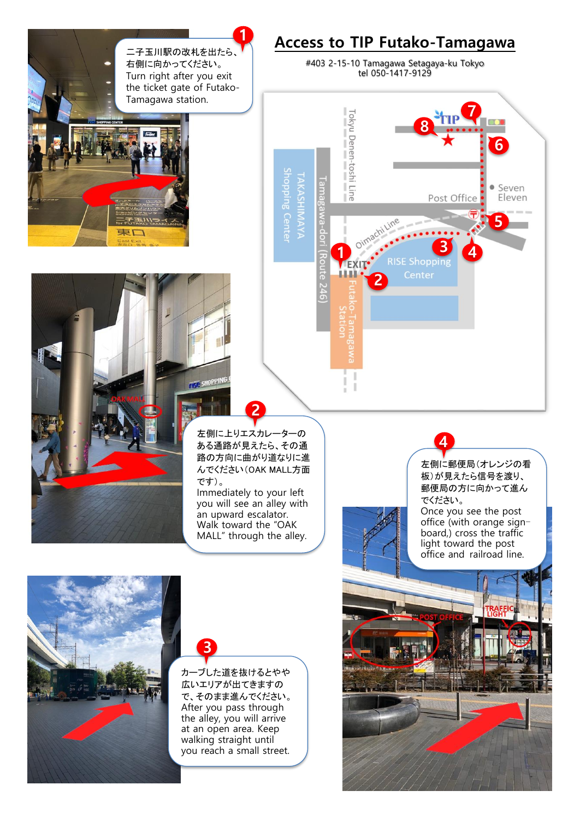



## **3**

カーブした道を抜けるとやや 広いエリアが出てきますの で、そのまま進んでください。 After you pass through the alley, you will arrive at an open area. Keep walking straight until you reach a small street.